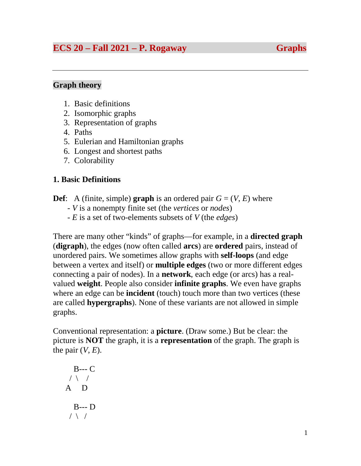# **ECS 20 – Fall 2021 – P. Rogaway Graphs**

### **Graph theory**

- 1. Basic definitions
- 2. Isomorphic graphs
- 3. Representation of graphs
- 4. Paths
- 5. Eulerian and Hamiltonian graphs
- 6. Longest and shortest paths
- 7. Colorability

# **1. Basic Definitions**

- **Def**: A (finite, simple) **graph** is an ordered pair  $G = (V, E)$  where
	- *V* is a nonempty finite set (the *vertices* or *nodes*)
	- *E* is a set of two-elements subsets of *V* (the *edges*)

There are many other "kinds" of graphs—for example, in a **directed graph**  (**digraph**), the edges (now often called **arcs**) are **ordered** pairs, instead of unordered pairs. We sometimes allow graphs with **self-loops** (and edge between a vertex and itself) or **multiple edges** (two or more different edges connecting a pair of nodes). In a **network**, each edge (or arcs) has a realvalued **weight**. People also consider **infinite graphs**. We even have graphs where an edge can be **incident** (touch) touch more than two vertices (these are called **hypergraphs**). None of these variants are not allowed in simple graphs.

Conventional representation: a **picture**. (Draw some.) But be clear: the picture is **NOT** the graph, it is a **representation** of the graph. The graph is the pair  $(V, E)$ .

$$
\begin{array}{c}\n B \rightarrow -C \\
\wedge \wedge \wedge \\
A \quad D \\
\uparrow \wedge \wedge\n \end{array}
$$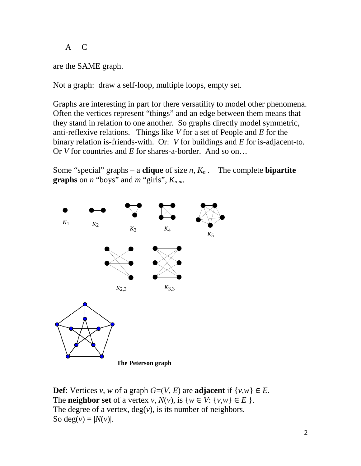A C

are the SAME graph.

Not a graph: draw a self-loop, multiple loops, empty set.

Graphs are interesting in part for there versatility to model other phenomena. Often the vertices represent "things" and an edge between them means that they stand in relation to one another. So graphs directly model symmetric, anti-reflexive relations. Things like *V* for a set of People and *E* for the binary relation is-friends-with. Or: *V* for buildings and *E* for is-adjacent-to. Or *V* for countries and *E* for shares-a-border. And so on…

Some "special" graphs – a **clique** of size  $n$ ,  $K_n$ . The complete **bipartite graphs** on *n* "boys" and *m* "girls",  $K_{n,m}$ .



**Def**: Vertices *v*, *w* of a graph  $G=(V, E)$  are **adjacent** if  $\{v, w\} \in E$ . The **neighbor set** of a vertex *v*,  $N(v)$ , is  $\{w \in V: \{v, w\} \in E\}$ . The degree of a vertex,  $deg(v)$ , is its number of neighbors. So deg( $v$ ) =  $|N(v)|$ .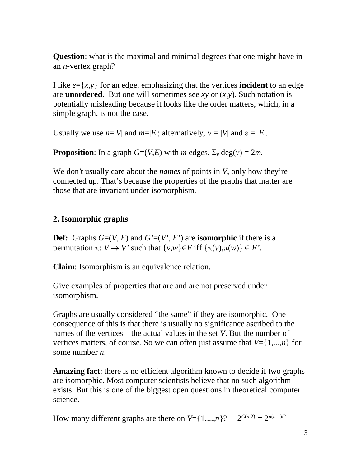**Question**: what is the maximal and minimal degrees that one might have in an *n*-vertex graph?

I like  $e = \{x, y\}$  for an edge, emphasizing that the vertices **incident** to an edge are **unordered**. But one will sometimes see *xy* or (*x,y*). Such notation is potentially misleading because it looks like the order matters, which, in a simple graph, is not the case.

Usually we use  $n=|V|$  and  $m=|E|$ ; alternatively,  $v=|V|$  and  $\varepsilon=|E|$ .

**Proposition**: In a graph  $G=(V,E)$  with *m* edges,  $\Sigma_v$  deg(*v*) = 2*m*.

We don*'*t usually care about the *names* of points in *V*, only how they're connected up. That's because the properties of the graphs that matter are those that are invariant under isomorphism*.* 

### **2. Isomorphic graphs**

**Def:** Graphs  $G=(V, E)$  and  $G'=(V', E')$  are **isomorphic** if there is a permutation  $\pi: V \to V'$  such that  $\{v, w\} \in E$  iff  $\{\pi(v), \pi(w)\} \in E'$ .

**Claim**: Isomorphism is an equivalence relation.

Give examples of properties that are and are not preserved under isomorphism.

Graphs are usually considered "the same" if they are isomorphic. One consequence of this is that there is usually no significance ascribed to the names of the vertices—the actual values in the set *V*. But the number of vertices matters, of course. So we can often just assume that  $V = \{1,...,n\}$  for some number *n*.

**Amazing fact**: there is no efficient algorithm known to decide if two graphs are isomorphic. Most computer scientists believe that no such algorithm exists. But this is one of the biggest open questions in theoretical computer science.

How many different graphs are there on  $V = \{1,...,n\}$ ?  $2^{C(n,2)} = 2^{n(n-1)/2}$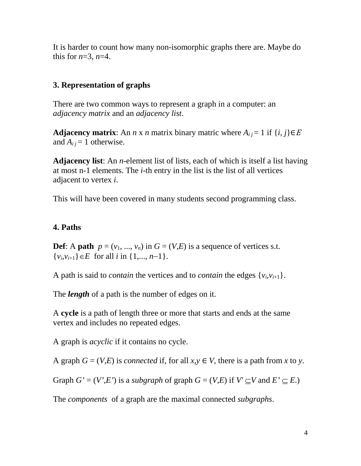It is harder to count how many non-isomorphic graphs there are. Maybe do this for  $n=3$ ,  $n=4$ .

### **3. Representation of graphs**

There are two common ways to represent a graph in a computer: an *adjacency matrix* and an *adjacency list*.

**Adjacency matrix**: An *n* x *n* matrix binary matric where  $A_{ij} = 1$  if  $\{i, j\} \in E$ and  $A_{ij} = 1$  otherwise.

**Adjacency list**: An *n*-element list of lists, each of which is itself a list having at most n-1 elements. The *i*-th entry in the list is the list of all vertices adjacent to vertex *i*.

This will have been covered in many students second programming class.

#### **4. Paths**

**Def**: A **path**  $p = (v_1, ..., v_n)$  in  $G = (V,E)$  is a sequence of vertices s.t.  $\{v_i, v_{i+1}\} \in E$  for all *i* in  $\{1, ..., n-1\}$ .

A path is said to *contain* the vertices and to *contain* the edges  $\{v_i, v_{i+1}\}.$ 

The *length* of a path is the number of edges on it.

A **cycle** is a path of length three or more that starts and ends at the same vertex and includes no repeated edges.

A graph is *acyclic* if it contains no cycle.

A graph  $G = (V,E)$  is *connected* if, for all  $x, y \in V$ , there is a path from x to y.

Graph  $G' = (V', E')$  is a *subgraph* of graph  $G = (V, E)$  if  $V' \subseteq V$  and  $E' \subseteq E$ .)

The *components* of a graph are the maximal connected *subgraphs*.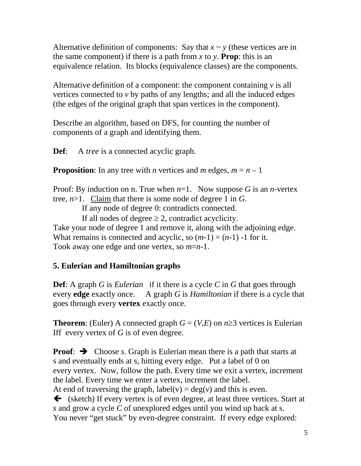Alternative definition of components: Say that  $x \sim y$  (these vertices are in the same component) if there is a path from x to y. **Prop**: this is an equivalence relation. Its blocks (equivalence classes) are the components.

Alternative definition of a component: the component containing *v* is all vertices connected to *v* by paths of any lengths; and all the induced edges (the edges of the original graph that span vertices in the component).

Describe an algorithm, based on DFS, for counting the number of components of a graph and identifying them.

**Def**: A *tree* is a connected acyclic graph.

**Proposition**: In any tree with *n* vertices and *m* edges,  $m = n - 1$ 

Proof: By induction on n. True when  $n=1$ . Now suppose G is an *n*-vertex tree,  $n>1$ . Claim that there is some node of degree 1 in *G*.

If any node of degree 0: contradicts connected.

If all nodes of degree  $\geq 2$ , contradict acyclicity. Take your node of degree 1 and remove it, along with the adjoining edge. What remains is connected and acyclic, so  $(m-1) = (n-1) -1$  for it. Took away one edge and one vertex, so *m*=*n*-1.

# **5. Eulerian and Hamiltonian graphs**

**Def**: A graph *G* is *Eulerian* if it there is a cycle *C* in *G* that goes through every **edge** exactly once. A graph *G* is *Hamiltonian* if there is a cycle that goes through every **vertex** exactly once.

**Theorem**: (Euler) A connected graph  $G = (V,E)$  on  $n \ge 3$  vertices is Eulerian Iff every vertex of *G* is of even degree.

**Proof:**  $\rightarrow$  Choose *s*. Graph is Eulerian mean there is a path that starts at s and eventually ends at s, hitting every edge. Put a label of 0 on every vertex. Now, follow the path. Every time we exit a vertex, increment the label. Every time we enter a vertex, increment the label. At end of traversing the graph,  $label(v) = deg(v)$  and this is even.  $\blacklozenge$  (sketch) If every vertex is of even degree, at least three vertices. Start at *s* and grow a cycle *C* of unexplored edges until you wind up back at s. You never "get stuck" by even-degree constraint. If every edge explored: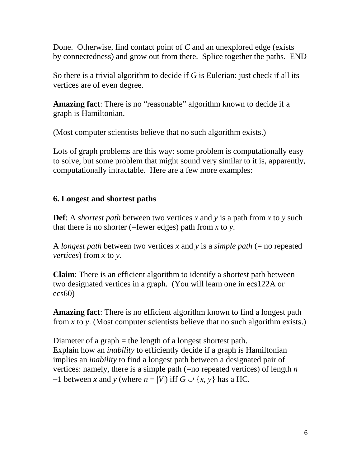Done. Otherwise, find contact point of *C* and an unexplored edge (exists by connectedness) and grow out from there. Splice together the paths. END

So there is a trivial algorithm to decide if *G* is Eulerian: just check if all its vertices are of even degree.

**Amazing fact**: There is no "reasonable" algorithm known to decide if a graph is Hamiltonian.

(Most computer scientists believe that no such algorithm exists.)

Lots of graph problems are this way: some problem is computationally easy to solve, but some problem that might sound very similar to it is, apparently, computationally intractable. Here are a few more examples:

### **6. Longest and shortest paths**

**Def**: A *shortest path* between two vertices *x* and *y* is a path from *x* to *y* such that there is no shorter (=fewer edges) path from *x* to *y*.

A *longest path* between two vertices *x* and *y* is a *simple path* (= no repeated *vertices*) from *x* to *y*.

**Claim**: There is an efficient algorithm to identify a shortest path between two designated vertices in a graph. (You will learn one in ecs122A or ecs60)

**Amazing fact**: There is no efficient algorithm known to find a longest path from  $x$  to  $y$ . (Most computer scientists believe that no such algorithm exists.)

Diameter of a graph = the length of a longest shortest path. Explain how an *inability* to efficiently decide if a graph is Hamiltonian implies an *inability* to find a longest path between a designated pair of vertices: namely, there is a simple path (=no repeated vertices) of length *n*   $-1$  between *x* and *y* (where  $n = |V|$ ) iff  $G \cup \{x, y\}$  has a HC.